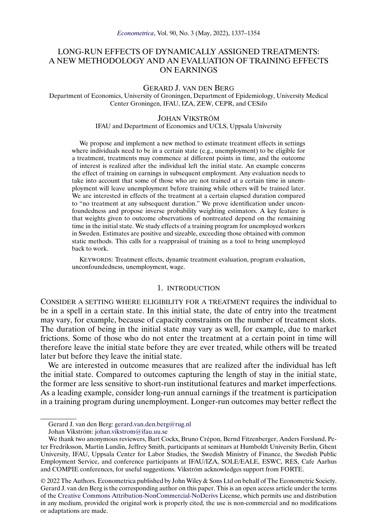# LONG-RUN EFFECTS OF DYNAMICALLY ASSIGNED TREATMENTS: A NEW METHODOLOGY AND AN EVALUATION OF TRAINING EFFECTS ON EARNINGS

#### GERARD J. VAN DEN BERG

Department of Economics, University of Groningen, Department of Epidemiology, University Medical Center Groningen, IFAU, IZA, ZEW, CEPR, and CESifo

### JOHAN VIKSTRÖM

### IFAU and Department of Economics and UCLS, Uppsala University

We propose and implement a new method to estimate treatment effects in settings where individuals need to be in a certain state (e.g., unemployment) to be eligible for a treatment, treatments may commence at different points in time, and the outcome of interest is realized after the individual left the initial state. An example concerns the effect of training on earnings in subsequent employment. Any evaluation needs to take into account that some of those who are not trained at a certain time in unemployment will leave unemployment before training while others will be trained later. We are interested in effects of the treatment at a certain elapsed duration compared to "no treatment at any subsequent duration." We prove identification under unconfoundedness and propose inverse probability weighting estimators. A key feature is that weights given to outcome observations of nontreated depend on the remaining time in the initial state. We study effects of a training program for unemployed workers in Sweden. Estimates are positive and sizeable, exceeding those obtained with common static methods. This calls for a reappraisal of training as a tool to bring unemployed back to work.

KEYWORDS: Treatment effects, dynamic treatment evaluation, program evaluation, unconfoundedness, unemployment, wage.

# 1. INTRODUCTION

CONSIDER A SETTING WHERE ELIGIBILITY FOR A TREATMENT requires the individual to be in a spell in a certain state. In this initial state, the date of entry into the treatment may vary, for example, because of capacity constraints on the number of treatment slots. The duration of being in the initial state may vary as well, for example, due to market frictions. Some of those who do not enter the treatment at a certain point in time will therefore leave the initial state before they are ever treated, while others will be treated later but before they leave the initial state.

We are interested in outcome measures that are realized after the individual has left the initial state. Compared to outcomes capturing the length of stay in the initial state, the former are less sensitive to short-run institutional features and market imperfections. As a leading example, consider long-run annual earnings if the treatment is participation in a training program during unemployment. Longer-run outcomes may better reflect the

© 2022 The Authors. Econometrica published by John Wiley & Sons Ltd on behalf of The Econometric Society. Gerard J. van den Berg is the corresponding author on this paper. This is an open access article under the terms of the [Creative Commons Attribution-NonCommercial-NoDerivs](https://creativecommons.org/licenses/by-nc-nd/4.0/) License, which permits use and distribution in any medium, provided the original work is properly cited, the use is non-commercial and no modifications or adaptations are made.

Gerard J. van den Berg: [gerard.van.den.berg@rug.nl](mailto:gerard.van.den.berg@rug.nl)

Johan Vikström: [johan.vikstrom@ifau.uu.se](mailto:johan.vikstrom@ifau.uu.se)

We thank two anonymous reviewers, Bart Cockx, Bruno Crépon, Bernd Fitzenberger, Anders Forslund, Peter Fredriksson, Martin Lundin, Jeffrey Smith, participants at seminars at Humboldt University Berlin, Ghent University, IFAU, Uppsala Center for Labor Studies, the Swedish Ministry of Finance, the Swedish Public Employment Service, and conference participants at IFAU/IZA, SOLE/EALE, ESWC, RES, Cafe Aarhus and COMPIE conferences, for useful suggestions. Vikström acknowledges support from FORTE.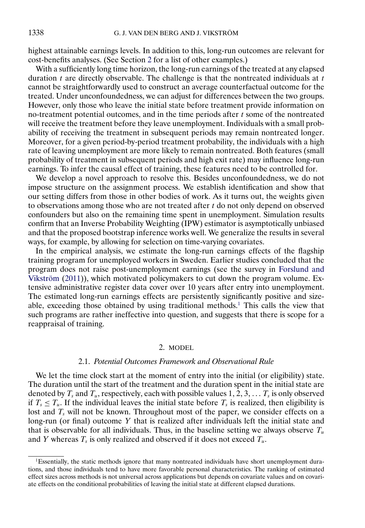<span id="page-1-0"></span>highest attainable earnings levels. In addition to this, long-run outcomes are relevant for cost-benefits analyses. (See Section 2 for a list of other examples.)

With a sufficiently long time horizon, the long-run earnings of the treated at any elapsed duration  $t$  are directly observable. The challenge is that the nontreated individuals at  $t$ cannot be straightforwardly used to construct an average counterfactual outcome for the treated. Under unconfoundedness, we can adjust for differences between the two groups. However, only those who leave the initial state before treatment provide information on no-treatment potential outcomes, and in the time periods after  $t$  some of the nontreated will receive the treatment before they leave unemployment. Individuals with a small probability of receiving the treatment in subsequent periods may remain nontreated longer. Moreover, for a given period-by-period treatment probability, the individuals with a high rate of leaving unemployment are more likely to remain nontreated. Both features (small probability of treatment in subsequent periods and high exit rate) may influence long-run earnings. To infer the causal effect of training, these features need to be controlled for.

We develop a novel approach to resolve this. Besides unconfoundedness, we do not impose structure on the assignment process. We establish identification and show that our setting differs from those in other bodies of work. As it turns out, the weights given to observations among those who are not treated after  $t$  do not only depend on observed confounders but also on the remaining time spent in unemployment. Simulation results confirm that an Inverse Probability Weighting (IPW) estimator is asymptotically unbiased and that the proposed bootstrap inference works well. We generalize the results in several ways, for example, by allowing for selection on time-varying covariates.

In the empirical analysis, we estimate the long-run earnings effects of the flagship training program for unemployed workers in Sweden. Earlier studies concluded that the program does not raise post-unemployment earnings (see the survey in [Forslund and](#page-16-0) [Vikström](#page-16-0) [\(2011\)](#page-16-0)), which motivated policymakers to cut down the program volume. Extensive administrative register data cover over 10 years after entry into unemployment. The estimated long-run earnings effects are persistently significantly positive and sizeable, exceeding those obtained by using traditional methods.1 This calls the view that such programs are rather ineffective into question, and suggests that there is scope for a reappraisal of training.

# 2. MODEL

# 2.1. *Potential Outcomes Framework and Observational Rule*

We let the time clock start at the moment of entry into the initial (or eligibility) state. The duration until the start of the treatment and the duration spent in the initial state are denoted by  $T_s$  and  $T_u$ , respectively, each with possible values  $1, 2, 3, \ldots$   $T_s$  is only observed if  $T_s \leq T_u$ . If the individual leaves the initial state before  $T_s$  is realized, then eligibility is lost and  $T_s$  will not be known. Throughout most of the paper, we consider effects on a long-run (or final) outcome Y that is realized after individuals left the initial state and that is observable for all individuals. Thus, in the baseline setting we always observe  $T_u$ and Y whereas  $T_s$  is only realized and observed if it does not exceed  $T_u$ .

<sup>&</sup>lt;sup>1</sup>Essentially, the static methods ignore that many nontreated individuals have short unemployment durations, and those individuals tend to have more favorable personal characteristics. The ranking of estimated effect sizes across methods is not universal across applications but depends on covariate values and on covariate effects on the conditional probabilities of leaving the initial state at different elapsed durations.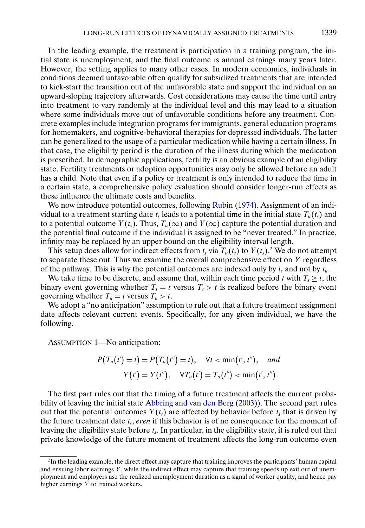<span id="page-2-0"></span>In the leading example, the treatment is participation in a training program, the initial state is unemployment, and the final outcome is annual earnings many years later. However, the setting applies to many other cases. In modern economies, individuals in conditions deemed unfavorable often qualify for subsidized treatments that are intended to kick-start the transition out of the unfavorable state and support the individual on an upward-sloping trajectory afterwards. Cost considerations may cause the time until entry into treatment to vary randomly at the individual level and this may lead to a situation where some individuals move out of unfavorable conditions before any treatment. Concrete examples include integration programs for immigrants, general education programs for homemakers, and cognitive-behavioral therapies for depressed individuals. The latter can be generalized to the usage of a particular medication while having a certain illness. In that case, the eligibility period is the duration of the illness during which the medication is prescribed. In demographic applications, fertility is an obvious example of an eligibility state. Fertility treatments or adoption opportunities may only be allowed before an adult has a child. Note that even if a policy or treatment is only intended to reduce the time in a certain state, a comprehensive policy evaluation should consider longer-run effects as these influence the ultimate costs and benefits.

We now introduce potential outcomes, following [Rubin](#page-17-0) [\(1974\)](#page-17-0). Assignment of an individual to a treatment starting date  $t_s$  leads to a potential time in the initial state  $T_u(t_s)$  and to a potential outcome  $Y(t_s)$ . Thus,  $T_u(\infty)$  and  $Y(\infty)$  capture the potential duration and the potential final outcome if the individual is assigned to be "never treated." In practice, infinity may be replaced by an upper bound on the eligibility interval length.

This setup does allow for indirect effects from  $t_s$  via  $T_u(t_s)$  to  $Y(t_s)$ .<sup>2</sup> We do not attempt to separate these out. Thus we examine the overall comprehensive effect on Y regardless of the pathway. This is why the potential outcomes are indexed only by  $t_s$  and not by  $t_u$ .

We take time to be discrete, and assume that, within each time period t with  $T_s \ge t$ , the binary event governing whether  $T_s = t$  versus  $T_s > t$  is realized before the binary event governing whether  $T_u = t$  versus  $T_u > t$ .

We adopt a "no anticipation" assumption to rule out that a future treatment assignment date affects relevant current events. Specifically, for any given individual, we have the following.

ASSUMPTION 1—No anticipation:

$$
P(T_u(t') = t) = P(T_u(t'') = t), \quad \forall t < \min(t', t''), \quad and
$$

$$
Y(t') = Y(t''), \quad \forall T_u(t') = T_u(t'') < \min(t', t'').
$$

The first part rules out that the timing of a future treatment affects the current probability of leaving the initial state [Abbring and van den Berg](#page-16-0) [\(2003\)](#page-16-0)). The second part rules out that the potential outcomes  $Y(t<sub>s</sub>)$  are affected by behavior before  $t<sub>s</sub>$  that is driven by the future treatment date  $t_s$ , *even* if this behavior is of no consequence for the moment of leaving the eligibility state before  $t_s$ . In particular, in the eligibility state, it is ruled out that private knowledge of the future moment of treatment affects the long-run outcome even

<sup>2</sup>In the leading example, the direct effect may capture that training improves the participants' human capital and ensuing labor earnings Y, while the indirect effect may capture that training speeds up exit out of unemployment and employers use the realized unemployment duration as a signal of worker quality, and hence pay higher earnings Y to trained workers.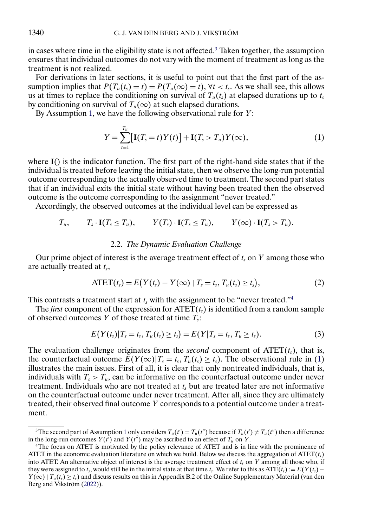<span id="page-3-0"></span>in cases where time in the eligibility state is not affected.<sup>3</sup> Taken together, the assumption ensures that individual outcomes do not vary with the moment of treatment as long as the treatment is not realized.

For derivations in later sections, it is useful to point out that the first part of the assumption implies that  $P(T_u(t_s) = t) = P(T_u(\infty) = t)$ ,  $\forall t < t_s$ . As we shall see, this allows us at times to replace the conditioning on survival of  $T_u(t_s)$  at elapsed durations up to  $t_s$ by conditioning on survival of  $T_u(\infty)$  at such elapsed durations.

By Assumption [1,](#page-2-0) we have the following observational rule for  $Y$ :

$$
Y = \sum_{t=1}^{T_u} [\mathbf{I}(T_s = t) Y(t)] + \mathbf{I}(T_s > T_u) Y(\infty), \tag{1}
$$

where **I**() is the indicator function. The first part of the right-hand side states that if the individual is treated before leaving the initial state, then we observe the long-run potential outcome corresponding to the actually observed time to treatment. The second part states that if an individual exits the initial state without having been treated then the observed outcome is the outcome corresponding to the assignment "never treated."

Accordingly, the observed outcomes at the individual level can be expressed as

$$
T_u
$$
,  $T_s \cdot \mathbf{I}(T_s \leq T_u)$ ,  $Y(T_s) \cdot \mathbf{I}(T_s \leq T_u)$ ,  $Y(\infty) \cdot \mathbf{I}(T_s > T_u)$ .

### 2.2. *The Dynamic Evaluation Challenge*

Our prime object of interest is the average treatment effect of  $t_s$  on  $Y$  among those who are actually treated at  $t_s$ ,

$$
\text{ATET}(t_s) = E(Y(t_s) - Y(\infty) \mid T_s = t_s, T_u(t_s) \ge t_s), \tag{2}
$$

This contrasts a treatment start at  $t_s$  with the assignment to be "never treated."<sup>4</sup>

The *first* component of the expression for  $\text{ATET}(t)$  is identified from a random sample of observed outcomes Y of those treated at time  $T_s$ :

$$
E(Y(t_s)|T_s = t_s, T_u(t_s) \ge t_s) = E(Y|T_s = t_s, T_u \ge t_s).
$$
\n(3)

The evaluation challenge originates from the *second* component of  $\text{ATET}(t_s)$ , that is, the counterfactual outcome  $E(Y(\infty)|T_s = t_s, T_u(t_s) \ge t_s)$ . The observational rule in (1) illustrates the main issues. First of all, it is clear that only nontreated individuals, that is, individuals with  $T_s > T_u$ , can be informative on the counterfactual outcome under never treatment. Individuals who are not treated at  $t<sub>s</sub>$  but are treated later are not informative on the counterfactual outcome under never treatment. After all, since they are ultimately treated, their observed final outcome Y corresponds to a potential outcome under a treatment.

<sup>&</sup>lt;sup>3</sup>The second part of Assumption [1](#page-2-0) only considers  $T_u(t') = T_u(t'')$  because if  $T_u(t') \neq T_u(t'')$  then a difference in the long-run outcomes  $Y(t')$  and  $Y(t'')$  may be ascribed to an effect of  $T_u$  on  $Y$ .

<sup>4</sup>The focus on ATET is motivated by the policy relevance of ATET and is in line with the prominence of ATET in the economic evaluation literature on which we build. Below we discuss the aggregation of  $\text{ATET}(t_s)$ into ATET. An alternative object of interest is the average treatment effect of  $t_s$  on Y among all those who, if they were assigned to t<sub>s</sub>, would still be in the initial state at that time t<sub>s</sub>. We refer to this as ATE(t<sub>s</sub>) :=  $E(Y(t<sub>s</sub>) Y(\infty) | T_u(t_s) \ge t_s$  and discuss results on this in Appendix B.2 of the Online Supplementary Material (van den Berg and Vikström [\(2022\)](#page-16-0)).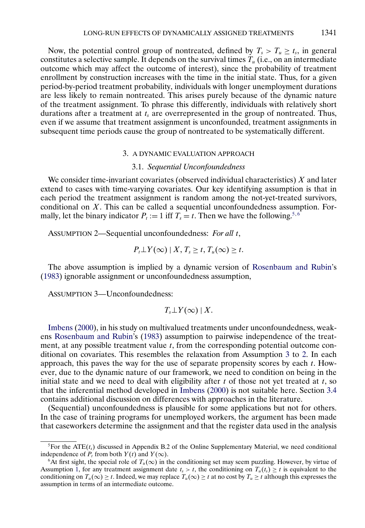<span id="page-4-0"></span>Now, the potential control group of nontreated, defined by  $T_s > T_u \ge t_s$ , in general constitutes a selective sample. It depends on the survival times  $T_u$  (i.e., on an intermediate outcome which may affect the outcome of interest), since the probability of treatment enrollment by construction increases with the time in the initial state. Thus, for a given period-by-period treatment probability, individuals with longer unemployment durations are less likely to remain nontreated. This arises purely because of the dynamic nature of the treatment assignment. To phrase this differently, individuals with relatively short durations after a treatment at  $t_s$  are overrepresented in the group of nontreated. Thus, even if we assume that treatment assignment is unconfounded, treatment assignments in subsequent time periods cause the group of nontreated to be systematically different.

### 3. A DYNAMIC EVALUATION APPROACH

### 3.1. *Sequential Unconfoundedness*

We consider time-invariant covariates (observed individual characteristics)  $X$  and later extend to cases with time-varying covariates. Our key identifying assumption is that in each period the treatment assignment is random among the not-yet-treated survivors, conditional on X. This can be called a sequential unconfoundedness assumption. Formally, let the binary indicator  $P_t := 1$  iff  $T_s = t$ . Then we have the following.<sup>5,6</sup>

ASSUMPTION 2—Sequential unconfoundedness: *For all* t,

$$
P_t \perp Y(\infty) \mid X, T_s \geq t, T_u(\infty) \geq t.
$$

The above assumption is implied by a dynamic version of [Rosenbaum and Rubin'](#page-17-0)s [\(1983\)](#page-17-0) ignorable assignment or unconfoundedness assumption,

ASSUMPTION 3—Unconfoundedness:

$$
T_s \bot Y(\infty) \mid X.
$$

[Imbens](#page-16-0) [\(2000\)](#page-16-0), in his study on multivalued treatments under unconfoundedness, weakens [Rosenbaum and Rubin'](#page-17-0)s [\(1983\)](#page-17-0) assumption to pairwise independence of the treatment, at any possible treatment value  $t$ , from the corresponding potential outcome conditional on covariates. This resembles the relaxation from Assumption 3 to 2. In each approach, this paves the way for the use of separate propensity scores by each  $t$ . However, due to the dynamic nature of our framework, we need to condition on being in the initial state and we need to deal with eligibility after  $t$  of those not yet treated at  $t$ , so that the inferential method developed in [Imbens](#page-16-0) [\(2000\)](#page-16-0) is not suitable here. Section [3.4](#page-7-0) contains additional discussion on differences with approaches in the literature.

(Sequential) unconfoundedness is plausible for some applications but not for others. In the case of training programs for unemployed workers, the argument has been made that caseworkers determine the assignment and that the register data used in the analysis

<sup>&</sup>lt;sup>5</sup>For the ATE( $t_s$ ) discussed in Appendix B.2 of the Online Supplementary Material, we need conditional independence of  $P_t$  from both  $Y(t)$  and  $Y(\infty)$ .

<sup>&</sup>lt;sup>6</sup>At first sight, the special role of  $T_u(\infty)$  in the conditioning set may seem puzzling. However, by virtue of Assumption [1,](#page-2-0) for any treatment assignment date  $t_s > t$ , the conditioning on  $T_u(t_s) \ge t$  is equivalent to the conditioning on  $T_u(\infty) \geq t$ . Indeed, we may replace  $T_u(\infty) \geq t$  at no cost by  $T_u \geq t$  although this expresses the assumption in terms of an intermediate outcome.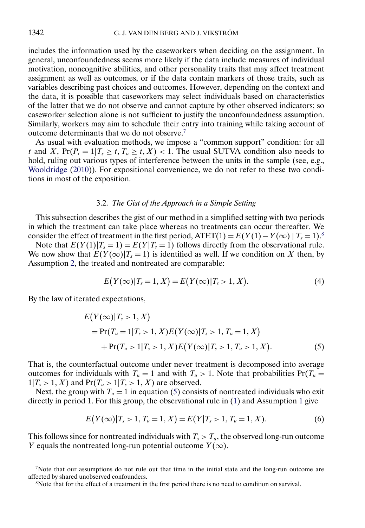<span id="page-5-0"></span>includes the information used by the caseworkers when deciding on the assignment. In general, unconfoundedness seems more likely if the data include measures of individual motivation, noncognitive abilities, and other personality traits that may affect treatment assignment as well as outcomes, or if the data contain markers of those traits, such as variables describing past choices and outcomes. However, depending on the context and the data, it is possible that caseworkers may select individuals based on characteristics of the latter that we do not observe and cannot capture by other observed indicators; so caseworker selection alone is not sufficient to justify the unconfoundedness assumption. Similarly, workers may aim to schedule their entry into training while taking account of outcome determinants that we do not observe.7

As usual with evaluation methods, we impose a "common support" condition: for all t and X,  $Pr(P_t = 1 | T_s \ge t, T_u \ge t, X) < 1$ . The usual SUTVA condition also needs to hold, ruling out various types of interference between the units in the sample (see, e.g., [Wooldridge](#page-17-0) [\(2010\)](#page-17-0)). For expositional convenience, we do not refer to these two conditions in most of the exposition.

# 3.2. *The Gist of the Approach in a Simple Setting*

This subsection describes the gist of our method in a simplified setting with two periods in which the treatment can take place whereas no treatments can occur thereafter. We consider the effect of treatment in the first period, ATET(1) =  $E(Y(1) - Y(\infty) | T_s = 1)^8$ .

Note that  $E(Y(1)|T_s = 1) = E(Y|T_s = 1)$  follows directly from the observational rule. We now show that  $E(Y(\infty)|T_s = 1)$  is identified as well. If we condition on X then, by Assumption [2,](#page-4-0) the treated and nontreated are comparable:

$$
E(Y(\infty)|T_s = 1, X) = E(Y(\infty)|T_s > 1, X).
$$
\n(4)

By the law of iterated expectations,

$$
E(Y(\infty)|T_s > 1, X)
$$
  
= Pr(T<sub>u</sub> = 1|T<sub>s</sub> > 1, X)E(Y(\infty)|T<sub>s</sub> > 1, T<sub>u</sub> = 1, X)  
+ Pr(T<sub>u</sub> > 1|T<sub>s</sub> > 1, X)E(Y(\infty)|T<sub>s</sub> > 1, T<sub>u</sub> > 1, X). (5)

That is, the counterfactual outcome under never treatment is decomposed into average outcomes for individuals with  $T_u = 1$  and with  $T_u > 1$ . Note that probabilities  $Pr(T_u =$  $1|T_s > 1, X)$  and  $Pr(T_u > 1 | T_s > 1, X)$  are observed.

Next, the group with  $T_u = 1$  in equation (5) consists of nontreated individuals who exit directly in period 1. For this group, the observational rule in [\(1\)](#page-3-0) and Assumption [1](#page-2-0) give

$$
E(Y(\infty)|T_s > 1, T_u = 1, X) = E(Y|T_s > 1, T_u = 1, X).
$$
\n(6)

This follows since for nontreated individuals with  $T_s > T_u$ , the observed long-run outcome Y equals the nontreated long-run potential outcome  $Y(\infty)$ .

<sup>&</sup>lt;sup>7</sup>Note that our assumptions do not rule out that time in the initial state and the long-run outcome are affected by shared unobserved confounders.

<sup>&</sup>lt;sup>8</sup>Note that for the effect of a treatment in the first period there is no need to condition on survival.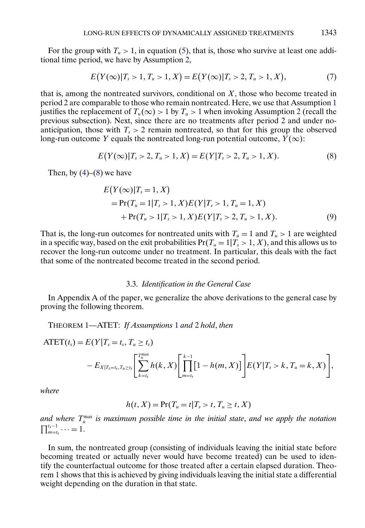<span id="page-6-0"></span>For the group with  $T_u > 1$ , in equation [\(5\)](#page-5-0), that is, those who survive at least one additional time period, we have by Assumption [2,](#page-4-0)

$$
E(Y(\infty)|T_s > 1, T_u > 1, X) = E(Y(\infty)|T_s > 2, T_u > 1, X),
$$
\n(7)

that is, among the nontreated survivors, conditional on  $X$ , those who become treated in period 2 are comparable to those who remain nontreated. Here, we use that Assumption [1](#page-2-0) justifies the replacement of  $T_u(\infty) > 1$  by  $T_u > 1$  when invoking Assumption [2](#page-4-0) (recall the previous subsection). Next, since there are no treatments after period 2 and under noanticipation, those with  $T_s > 2$  remain nontreated, so that for this group the observed long-run outcome Y equals the nontreated long-run potential outcome,  $Y(\infty)$ :

$$
E(Y(\infty)|T_s > 2, T_u > 1, X) = E(Y|T_s > 2, T_u > 1, X).
$$
\n(8)

Then, by  $(4)$ – $(8)$  we have

$$
E(Y(\infty)|T_s = 1, X)
$$
  
= Pr(T<sub>u</sub> = 1|T<sub>s</sub> > 1, X)E(Y|T<sub>s</sub> > 1, T<sub>u</sub> = 1, X)  
+ Pr(T<sub>u</sub> > 1|T<sub>s</sub> > 1, X)E(Y|T<sub>s</sub> > 2, T<sub>u</sub> > 1, X). (9)

That is, the long-run outcomes for nontreated units with  $T_u = 1$  and  $T_u > 1$  are weighted in a specific way, based on the exit probabilities  $Pr(T_u = 1 | T_s > 1, X)$ , and this allows us to recover the long-run outcome under no treatment. In particular, this deals with the fact that some of the nontreated become treated in the second period.

#### 3.3. *Identification in the General Case*

In Appendix A of the paper, we generalize the above derivations to the general case by proving the following theorem.

THEOREM 1—ATET: *If Assumptions* [1](#page-2-0) *and* [2](#page-4-0) *hold*, *then*

 $\text{ATET}(t_s) = E(Y | T_s = t_s, T_u \ge t_s)$ 

$$
-E_{X|T_s=t_s,T_u\geq t_s}\left[\sum_{k=t_s}^{T_u^{\max}}h(k,X)\left[\prod_{m=t_s}^{k-1}[1-h(m,X)]\right]E(Y|T_s>k,T_u=k,X)\right],
$$

*where*

$$
h(t, X) = \Pr(T_u = t | T_s > t, T_u \geq t, X)
$$

and where  $T_u^{\max}$  is maximum possible time in the initial state, and we apply the notation  $\prod_{m=t_s}^{t_s-1}\cdots=1.$ 

In sum, the nontreated group (consisting of individuals leaving the initial state before becoming treated or actually never would have become treated) can be used to identify the counterfactual outcome for those treated after a certain elapsed duration. Theorem 1 shows that this is achieved by giving individuals leaving the initial state a differential weight depending on the duration in that state.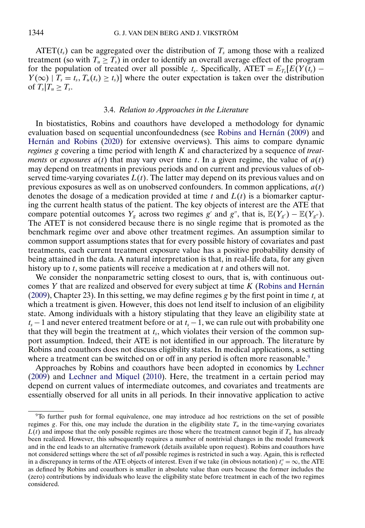<span id="page-7-0"></span>ATET( $t_s$ ) can be aggregated over the distribution of  $T_s$  among those with a realized treatment (so with  $T_u \geq T_s$ ) in order to identify an overall average effect of the program for the population of treated over all possible t<sub>s</sub>. Specifically, ATET =  $E_{T<sub>s</sub>}[E(Y(t<sub>s</sub>) Y(\infty)$  |  $T_s = t_s$ ,  $T_u(t_s) \ge t_s$ ] where the outer expectation is taken over the distribution of  $T_s | T_u \geq T_s$ .

# 3.4. *Relation to Approaches in the Literature*

In biostatistics, Robins and coauthors have developed a methodology for dynamic evaluation based on sequential unconfoundedness (see [Robins and Hernán](#page-17-0) [\(2009\)](#page-17-0) and [Hernán and Robins](#page-16-0) [\(2020\)](#page-16-0) for extensive overviews). This aims to compare dynamic *regimes* g covering a time period with length K and characterized by a sequence of *treatments* or *exposures*  $a(t)$  that may vary over time t. In a given regime, the value of  $a(t)$ may depend on treatments in previous periods and on current and previous values of observed time-varying covariates  $L(t)$ . The latter may depend on its previous values and on previous exposures as well as on unobserved confounders. In common applications,  $a(t)$ denotes the dosage of a medication provided at time t and  $L(t)$  is a biomarker capturing the current health status of the patient. The key objects of interest are the ATE that compare potential outcomes  $Y_g$  across two regimes g' and g'', that is,  $\mathbb{E}(Y_{g}) - \mathbb{E}(Y_{g''})$ . The ATET is not considered because there is no single regime that is promoted as the benchmark regime over and above other treatment regimes. An assumption similar to common support assumptions states that for every possible history of covariates and past treatments, each current treatment exposure value has a positive probability density of being attained in the data. A natural interpretation is that, in real-life data, for any given history up to  $t$ , some patients will receive a medication at  $t$  and others will not.

We consider the nonparametric setting closest to ours, that is, with continuous outcomes  $Y$  that are realized and observed for every subject at time  $K$  [\(Robins and Hernán](#page-17-0) [\(2009\)](#page-17-0), Chapter 23). In this setting, we may define regimes g by the first point in time  $t_s$  at which a treatment is given. However, this does not lend itself to inclusion of an eligibility state. Among individuals with a history stipulating that they leave an eligibility state at  $t_s - 1$  and never entered treatment before or at  $t_s - 1$ , we can rule out with probability one that they will begin the treatment at  $t_s$ , which violates their version of the common support assumption. Indeed, their ATE is not identified in our approach. The literature by Robins and coauthors does not discuss eligibility states. In medical applications, a setting where a treatment can be switched on or off in any period is often more reasonable.<sup>9</sup>

Approaches by Robins and coauthors have been adopted in economics by [Lechner](#page-16-0) [\(2009\)](#page-16-0) and [Lechner and Miquel](#page-16-0) [\(2010\)](#page-16-0). Here, the treatment in a certain period may depend on current values of intermediate outcomes, and covariates and treatments are essentially observed for all units in all periods. In their innovative application to active

<sup>9</sup>To further push for formal equivalence, one may introduce ad hoc restrictions on the set of possible regimes g. For this, one may include the duration in the eligibility state  $T_u$  in the time-varying covariates  $L(t)$  and impose that the only possible regimes are those where the treatment cannot begin if  $T_u$  has already been realized. However, this subsequently requires a number of nontrivial changes in the model framework and in the end leads to an alternative framework (details available upon request). Robins and coauthors have not considered settings where the set of *all* possible regimes is restricted in such a way. Again, this is reflected in a discrepancy in terms of the ATE objects of interest. Even if we take (in obvious notation)  $t''_s = \infty$ , the ATE as defined by Robins and coauthors is smaller in absolute value than ours because the former includes the (zero) contributions by individuals who leave the eligibility state before treatment in each of the two regimes considered.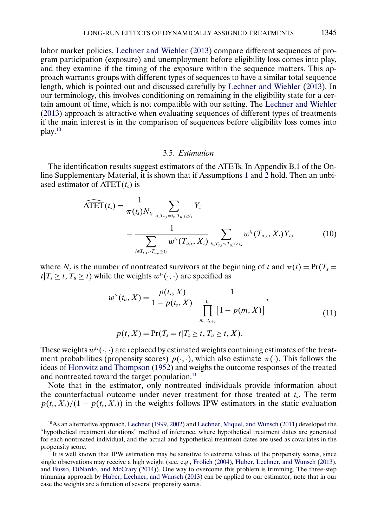<span id="page-8-0"></span>labor market policies, [Lechner and Wiehler](#page-16-0) [\(2013\)](#page-16-0) compare different sequences of program participation (exposure) and unemployment before eligibility loss comes into play, and they examine if the timing of the exposure within the sequence matters. This approach warrants groups with different types of sequences to have a similar total sequence length, which is pointed out and discussed carefully by [Lechner and Wiehler](#page-16-0) [\(2013\)](#page-16-0). In our terminology, this involves conditioning on remaining in the eligibility state for a certain amount of time, which is not compatible with our setting. The [Lechner and Wiehler](#page-16-0) [\(2013\)](#page-16-0) approach is attractive when evaluating sequences of different types of treatments if the main interest is in the comparison of sequences before eligibility loss comes into play.10

# 3.5. *Estimation*

The identification results suggest estimators of the ATETs. In Appendix B.1 of the Online Supplementary Material, it is shown that if Assumptions [1](#page-2-0) and [2](#page-4-0) hold. Then an unbiased estimator of  $\text{ATET}(t_s)$  is

$$
\widehat{\text{ATET}}(t_s) = \frac{1}{\pi(t_s) N_{t_s}} \sum_{i \in T_{s,i} = t_s, T_{u,i} \ge t_s} Y_i
$$
\n
$$
- \frac{1}{\sum_{i \in T_{s,i} > T_{u,i} \ge t_s} w^{t_s}(T_{u,i}, X_i)} \sum_{i \in T_{s,i} > T_{u,i} \ge t_s} w^{t_s}(T_{u,i}, X_i) Y_i, \tag{10}
$$

where  $N_t$  is the number of nontreated survivors at the beginning of t and  $\pi(t) = Pr(T_s =$  $t|T_s \ge t, T_u \ge t$ ) while the weights  $w^{t_s}(\cdot, \cdot)$  are specified as

$$
w^{t_s}(t_u, X) = \frac{p(t_s, X)}{1 - p(t_s, X)} \cdot \frac{1}{\prod_{m=t_{s+1}}^{t_u} [1 - p(m, X)]},
$$
  
\n
$$
p(t, X) = \Pr(T_s = t | T_s \ge t, T_u \ge t, X).
$$
\n(11)

These weights  $w^{t_s}(\cdot, \cdot)$  are replaced by estimated weights containing estimates of the treatment probabilities (propensity scores)  $p(\cdot, \cdot)$ , which also estimate  $\pi(\cdot)$ . This follows the ideas of [Horovitz and Thompson](#page-16-0) [\(1952\)](#page-16-0) and weighs the outcome responses of the treated and nontreated toward the target population.<sup>11</sup>

Note that in the estimator, only nontreated individuals provide information about the counterfactual outcome under never treatment for those treated at  $t_s$ . The term  $p(t_s, X_i)/(1 - p(t_s, X_i))$  in the weights follows IPW estimators in the static evaluation

<sup>10</sup>As an alternative approach, [Lechner](#page-16-0) [\(1999,](#page-16-0) [2002\)](#page-16-0) and [Lechner, Miquel, and Wunsch](#page-17-0) [\(2011\)](#page-17-0) developed the "hypothetical treatment durations" method of inference, where hypothetical treatment dates are generated for each nontreated individual, and the actual and hypothetical treatment dates are used as covariates in the propensity score.

 $11$ It is well known that IPW estimation may be sensitive to extreme values of the propensity scores, since single observations may receive a high weight (see, e.g., [Frölich](#page-16-0) [\(2004\)](#page-16-0), [Huber, Lechner, and Wunsch](#page-16-0) [\(2013\)](#page-16-0), and [Busso, DiNardo, and McCrary](#page-16-0) [\(2014\)](#page-16-0)). One way to overcome this problem is trimming. The three-step trimming approach by [Huber, Lechner, and Wunsch](#page-16-0) [\(2013\)](#page-16-0) can be applied to our estimator; note that in our case the weights are a function of several propensity scores.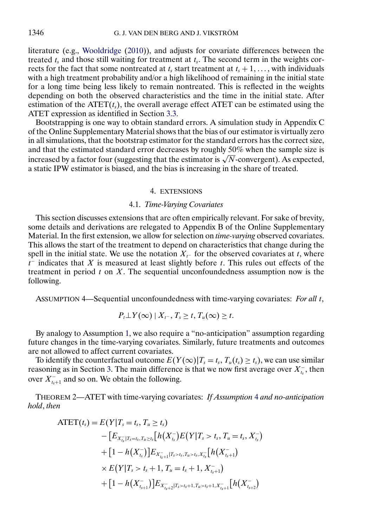literature (e.g., [Wooldridge](#page-17-0) [\(2010\)](#page-17-0)), and adjusts for covariate differences between the treated  $t_s$  and those still waiting for treatment at  $t_s$ . The second term in the weights corrects for the fact that some nontreated at  $t_s$  start treatment at  $t_s + 1, \ldots$ , with individuals with a high treatment probability and/or a high likelihood of remaining in the initial state for a long time being less likely to remain nontreated. This is reflected in the weights depending on both the observed characteristics and the time in the initial state. After estimation of the  $\text{ATET}(t_1)$ , the overall average effect ATET can be estimated using the ATET expression as identified in Section [3.3.](#page-6-0)

Bootstrapping is one way to obtain standard errors. A simulation study in Appendix C of the Online Supplementary Material shows that the bias of our estimator is virtually zero in all simulations, that the bootstrap estimator for the standard errors has the correct size, and that the estimated standard error decreases by roughly 50% when the sample size is increased by a factor four (suggesting that the estimator is  $\sqrt{N}$ -convergent). As expected, a static IPW estimator is biased, and the bias is increasing in the share of treated.

### 4. EXTENSIONS

### 4.1. *Time-Varying Covariates*

This section discusses extensions that are often empirically relevant. For sake of brevity, some details and derivations are relegated to Appendix B of the Online Supplementary Material. In the first extension, we allow for selection on *time-varying* observed covariates. This allows the start of the treatment to depend on characteristics that change during the spell in the initial state. We use the notation  $X<sub>t</sub>$ - for the observed covariates at t, where  $t<sup>-</sup>$  indicates that X is measured at least slightly before t. This rules out effects of the treatment in period  $t$  on  $X$ . The sequential unconfoundedness assumption now is the following.

ASSUMPTION 4—Sequential unconfoundedness with time-varying covariates: *For all* t,

$$
P_t \perp Y(\infty) \mid X_{t-}, T_s \geq t, T_u(\infty) \geq t.
$$

By analogy to Assumption [1,](#page-2-0) we also require a "no-anticipation" assumption regarding future changes in the time-varying covariates. Similarly, future treatments and outcomes are not allowed to affect current covariates.

To identify the counterfactual outcome  $E(Y(\infty)|T_s = t_s, T_u(t_s) \ge t_s)$ , we can use similar reasoning as in Section [3.](#page-4-0) The main difference is that we now first average over  $X_{t_s}^-$ , then over  $X_{t_{s+1}}^-$  and so on. We obtain the following.

THEOREM 2—ATET with time-varying covariates: *If Assumption* 4 *and no-anticipation hold*, *then*

$$
\begin{aligned} \text{ATET}(t_{s}) &= E(Y|T_{s} = t_{s}, T_{u} \ge t_{s}) \\ &- \big[E_{X_{t_{s}} \mid T_{s} = t_{s}, T_{u} \ge t_{s}} \big[h(X_{t_{s}}^{-}) E(Y|T_{s} > t_{s}, T_{u} = t_{s}, X_{t_{s}}^{-}) \\ &+ \big[1 - h(X_{t_{s}}^{-})\big] E_{X_{t_{s}+1}^{-} \mid T_{s} > t_{s}, T_{u} > t_{s}, X_{t_{s}}^{-} \big[h(X_{t_{s}+1}^{-}) \\ &\times E(Y|T_{s} > t_{s} + 1, T_{u} = t_{s} + 1, X_{t_{s}+1}^{-}) \\ &+ \big[1 - h(X_{t_{s+1}}^{-})\big] E_{X_{t_{s}+2}^{-} \mid T_{s} > t_{s} + 1, T_{u} > t_{s} + 1, X_{t_{s}+1}^{-} \big[h(X_{t_{s+2}}^{-})\big] \end{aligned}
$$

<span id="page-9-0"></span>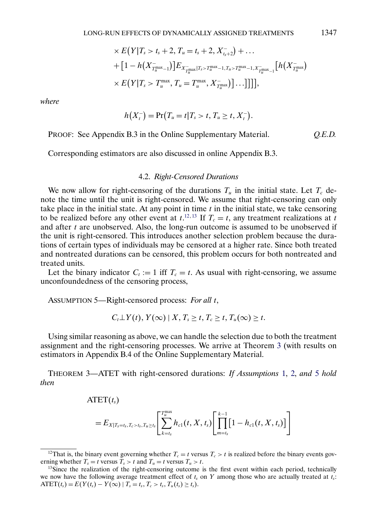$$
\times E(Y|T_s > t_s + 2, T_u = t_s + 2, X_{t_s+2}^{-}) + \dots + [1 - h(X_{T_u^{\max}-1}^{-})] E_{X_{T_u^{\max}}^{-}|T_s > T_u^{\max}-1, T_u > T_u^{\max}-1, X_{T_u^{\max}-1}^{-}|} [h(X_{T_u^{\max}}^{-}) \times E(Y|T_s > T_u^{\max}, T_u = T_u^{\max}, X_{T_u^{\max}}^{-})] \dots]]],
$$

*where*

$$
h(X_t^-)=\Pr\bigl(T_u=t\big|T_s>t,T_u\geq t,X_t^-\bigr).
$$

PROOF: See Appendix B.3 in the Online Supplementary Material. *Q.E.D.*

Corresponding estimators are also discussed in online Appendix B.3.

### 4.2. *Right-Censored Durations*

We now allow for right-censoring of the durations  $T_u$  in the initial state. Let  $T_c$  denote the time until the unit is right-censored. We assume that right-censoring can only take place in the initial state. At any point in time  $t$  in the initial state, we take censoring to be realized before any other event at  $t$ <sup>12, 13</sup> If  $T_c = t$ , any treatment realizations at t and after  $t$  are unobserved. Also, the long-run outcome is assumed to be unobserved if the unit is right-censored. This introduces another selection problem because the durations of certain types of individuals may be censored at a higher rate. Since both treated and nontreated durations can be censored, this problem occurs for both nontreated and treated units.

Let the binary indicator  $C_t := 1$  iff  $T_c = t$ . As usual with right-censoring, we assume unconfoundedness of the censoring process,

ASSUMPTION 5—Right-censored process: *For all* t,

$$
C_t \perp Y(t), Y(\infty) \mid X, T_s \geq t, T_c \geq t, T_u(\infty) \geq t.
$$

Using similar reasoning as above, we can handle the selection due to both the treatment assignment and the right-censoring processes. We arrive at Theorem 3 (with results on estimators in Appendix B.4 of the Online Supplementary Material.

THEOREM 3—ATET with right-censored durations: *If Assumptions* [1,](#page-2-0) [2,](#page-4-0) *and* 5 *hold then*

 $\text{ATET}(t_{s})$ 

$$
=E_{X|T_s=t_s,T_c>t_s,T_u\geq t_s}\left[\sum_{k=t_s}^{T_u^{\max}}h_{c1}(t,X,t_s)\left[\prod_{m=t_s}^{k-1}[1-h_{c1}(t,X,t_s)]\right]\right]
$$

<sup>&</sup>lt;sup>12</sup>That is, the binary event governing whether  $T_c = t$  versus  $T_c > t$  is realized before the binary events governing whether  $T_s = t$  versus  $T_s > t$  and  $T_u = t$  versus  $T_u > t$ .

<sup>&</sup>lt;sup>13</sup>Since the realization of the right-censoring outcome is the first event within each period, technically we now have the following average treatment effect of  $t_s$  on Y among those who are actually treated at  $t_s$ :  $\text{ATET}(t_s) = E(Y(t_s) - Y(\infty) | T_s = t_s, T_c > t_s, T_u(t_s) \ge t_s).$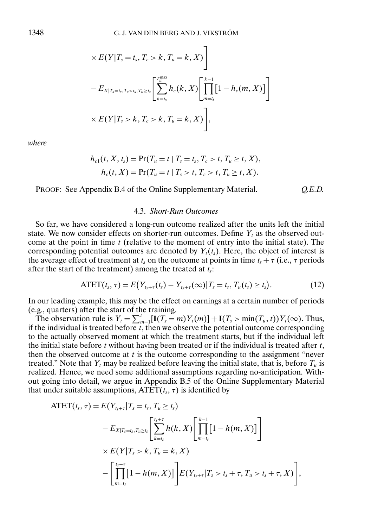$$
\times E(Y|T_s = t_s, T_c > k, T_u = k, X)
$$
  

$$
- E_{X|T_s = t_s, T_c > t_s, T_u \ge t_s} \left[ \sum_{k=t_s}^{T_u^{\text{max}}} h_c(k, X) \left[ \prod_{m=t_s}^{k-1} [1 - h_c(m, X)] \right] \right]
$$
  

$$
\times E(Y|T_s > k, T_c > k, T_u = k, X)
$$

*where*

$$
h_{c1}(t, X, t_s) = \Pr(T_u = t | T_s = t_s, T_c > t, T_u \ge t, X),
$$
  

$$
h_c(t, X) = \Pr(T_u = t | T_s > t, T_c > t, T_u \ge t, X).
$$

PROOF: See Appendix B.4 of the Online Supplementary Material. *Q.E.D.*

#### 4.3. *Short-Run Outcomes*

So far, we have considered a long-run outcome realized after the units left the initial state. We now consider effects on shorter-run outcomes. Define  $Y_t$  as the observed outcome at the point in time  $t$  (relative to the moment of entry into the initial state). The corresponding potential outcomes are denoted by  $Y_t(t_s)$ . Here, the object of interest is the average effect of treatment at  $t_s$  on the outcome at points in time  $t_s + \tau$  (i.e.,  $\tau$  periods after the start of the treatment) among the treated at  $t_s$ :

$$
ATET(t_s, \tau) = E(Y_{t_{s}+\tau}(t_s) - Y_{t_{s}+\tau}(\infty) | T_s = t_s, T_u(t_s) \ge t_s).
$$
\n(12)

In our leading example, this may be the effect on earnings at a certain number of periods (e.g., quarters) after the start of the training.

The observation rule is  $Y_t = \sum_{m=1}^t [\mathbf{I}(T_s = m)Y_t(m)] + \mathbf{I}(T_s > \min(T_u, t))Y_t(\infty)$ . Thus, if the individual is treated before  $t$ , then we observe the potential outcome corresponding to the actually observed moment at which the treatment starts, but if the individual left the initial state before  $t$  without having been treated or if the individual is treated after  $t$ , then the observed outcome at  $t$  is the outcome corresponding to the assignment "never treated." Note that  $Y_t$  may be realized before leaving the initial state, that is, before  $T_u$  is realized. Hence, we need some additional assumptions regarding no-anticipation. Without going into detail, we argue in Appendix B.5 of the Online Supplementary Material that under suitable assumptions,  $\text{ATET}(t_s, \tau)$  is identified by

$$
\text{ATET}(t_s, \tau) = E(Y_{t_{s+7}}|T_s = t_s, T_u \ge t_s)
$$
\n
$$
-E_{X|T_s = t_s, T_u \ge t_s} \left[ \sum_{k=t_s}^{t_{s+7}} h(k, X) \left[ \prod_{m=t_s}^{k-1} [1 - h(m, X)] \right] \times E(Y|T_s > k, T_u = k, X)
$$
\n
$$
- \left[ \prod_{m=t_s}^{t_{s+7}} [1 - h(m, X)] \right] E(Y_{t_{s+7}}|T_s > t_s + \tau, T_u > t_s + \tau, X) \right],
$$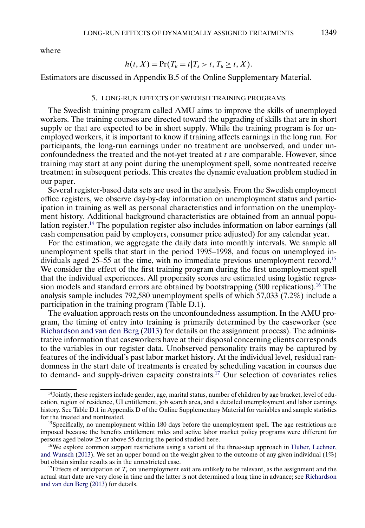<span id="page-12-0"></span>where

$$
h(t, X) = \Pr(T_u = t | T_s > t, T_u \geq t, X).
$$

Estimators are discussed in Appendix B.5 of the Online Supplementary Material.

### 5. LONG-RUN EFFECTS OF SWEDISH TRAINING PROGRAMS

The Swedish training program called AMU aims to improve the skills of unemployed workers. The training courses are directed toward the upgrading of skills that are in short supply or that are expected to be in short supply. While the training program is for unemployed workers, it is important to know if training affects earnings in the long run. For participants, the long-run earnings under no treatment are unobserved, and under unconfoundedness the treated and the not-yet treated at  $t$  are comparable. However, since training may start at any point during the unemployment spell, some nontreated receive treatment in subsequent periods. This creates the dynamic evaluation problem studied in our paper.

Several register-based data sets are used in the analysis. From the Swedish employment office registers, we observe day-by-day information on unemployment status and participation in training as well as personal characteristics and information on the unemployment history. Additional background characteristics are obtained from an annual population register.<sup>14</sup> The population register also includes information on labor earnings (all cash compensation paid by employers, consumer price adjusted) for any calendar year.

For the estimation, we aggregate the daily data into monthly intervals. We sample all unemployment spells that start in the period 1995–1998, and focus on unemployed individuals aged 25–55 at the time, with no immediate previous unemployment record.<sup>15</sup> We consider the effect of the first training program during the first unemployment spell that the individual experiences. All propensity scores are estimated using logistic regression models and standard errors are obtained by bootstrapping  $(500 \text{ replications})$ .<sup>16</sup> The analysis sample includes 792,580 unemployment spells of which 57,033 (7.2%) include a participation in the training program (Table D.1).

The evaluation approach rests on the unconfoundedness assumption. In the AMU program, the timing of entry into training is primarily determined by the caseworker (see [Richardson and van den Berg](#page-17-0) [\(2013\)](#page-17-0) for details on the assignment process). The administrative information that caseworkers have at their disposal concerning clients corresponds to the variables in our register data. Unobserved personality traits may be captured by features of the individual's past labor market history. At the individual level, residual randomness in the start date of treatments is created by scheduling vacation in courses due to demand- and supply-driven capacity constraints.<sup>17</sup> Our selection of covariates relies

 $14$ Jointly, these registers include gender, age, marital status, number of children by age bracket, level of education, region of residence, UI entitlement, job search area, and a detailed unemployment and labor earnings history. See Table D.1 in Appendix D of the Online Supplementary Material for variables and sample statistics for the treated and nontreated.

<sup>&</sup>lt;sup>15</sup>Specifically, no unemployment within 180 days before the unemployment spell. The age restrictions are imposed because the benefits entitlement rules and active labor market policy programs were different for persons aged below 25 or above 55 during the period studied here.

 $16$ We explore common support restrictions using a variant of the three-step approach in [Huber, Lechner,](#page-16-0) [and Wunsch](#page-16-0) [\(2013\)](#page-16-0). We set an upper bound on the weight given to the outcome of any given individual  $(1\%)$ but obtain similar results as in the unrestricted case.

<sup>&</sup>lt;sup>17</sup>Effects of anticipation of  $T_s$  on unemployment exit are unlikely to be relevant, as the assignment and the actual start date are very close in time and the latter is not determined a long time in advance; see [Richardson](#page-17-0) [and van den Berg](#page-17-0) [\(2013\)](#page-17-0) for details.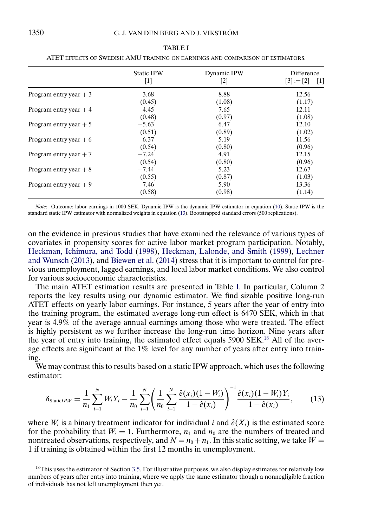|                         | <b>Static IPW</b>                                                                                                                                                                                                                                                                                                 | Dynamic IPW | Difference         |
|-------------------------|-------------------------------------------------------------------------------------------------------------------------------------------------------------------------------------------------------------------------------------------------------------------------------------------------------------------|-------------|--------------------|
|                         | $[1] % \includegraphics[width=0.9\columnwidth]{figures/fig_1a} \caption{The figure shows the number of times, and the number of times, and the number of times, and the number of times, are indicated with the number of times, and the number of times, are indicated with the number of times.} \label{fig:2}$ | [2]         | $[3] := [2] - [1]$ |
| Program entry year $+3$ | $-3.68$                                                                                                                                                                                                                                                                                                           | 8.88        | 12.56              |
|                         | (0.45)                                                                                                                                                                                                                                                                                                            | (1.08)      | (1.17)             |
| Program entry year $+4$ | $-4.45$                                                                                                                                                                                                                                                                                                           | 7.65        | 12.11              |
|                         | (0.48)                                                                                                                                                                                                                                                                                                            | (0.97)      | (1.08)             |
| Program entry year $+5$ | $-5.63$                                                                                                                                                                                                                                                                                                           | 6.47        | 12.10              |
|                         | (0.51)                                                                                                                                                                                                                                                                                                            | (0.89)      | (1.02)             |
| Program entry year $+6$ | $-6.37$                                                                                                                                                                                                                                                                                                           | 5.19        | 11.56              |
|                         | (0.54)                                                                                                                                                                                                                                                                                                            | (0.80)      | (0.96)             |
| Program entry year $+7$ | $-7.24$                                                                                                                                                                                                                                                                                                           | 4.91        | 12.15              |
|                         | (0.54)                                                                                                                                                                                                                                                                                                            | (0.80)      | (0.96)             |
| Program entry year $+8$ | $-7.44$                                                                                                                                                                                                                                                                                                           | 5.23        | 12.67              |
|                         | (0.55)                                                                                                                                                                                                                                                                                                            | (0.87)      | (1.03)             |
| Program entry year $+9$ | $-7.46$                                                                                                                                                                                                                                                                                                           | 5.90        | 13.36              |
|                         | (0.58)                                                                                                                                                                                                                                                                                                            | (0.98)      | (1.14)             |

<span id="page-13-0"></span>TABLE I ATET EFFECTS OF SWEDISH AMU TRAINING ON EARNINGS AND COMPARISON OF ESTIMATORS.

*Note*: Outcome: labor earnings in 1000 SEK. Dynamic IPW is the dynamic IPW estimator in equation [\(10\)](#page-8-0). Static IPW is the standard static IPW estimator with normalized weights in equation (13). Bootstrapped standard errors (500 replications).

on the evidence in previous studies that have examined the relevance of various types of covariates in propensity scores for active labor market program participation. Notably, [Heckman, Ichimura, and Todd](#page-16-0) [\(1998\)](#page-16-0), [Heckman, Lalonde, and Smith](#page-16-0) [\(1999\)](#page-16-0), [Lechner](#page-16-0) [and Wunsch](#page-16-0) [\(2013\)](#page-16-0), and [Biewen et al.](#page-16-0) [\(2014\)](#page-16-0) stress that it is important to control for previous unemployment, lagged earnings, and local labor market conditions. We also control for various socioeconomic characteristics.

The main ATET estimation results are presented in Table I. In particular, Column 2 reports the key results using our dynamic estimator. We find sizable positive long-run ATET effects on yearly labor earnings. For instance, 5 years after the year of entry into the training program, the estimated average long-run effect is 6470 SEK, which in that year is 4.9% of the average annual earnings among those who were treated. The effect is highly persistent as we further increase the long-run time horizon. Nine years after the year of entry into training, the estimated effect equals 5900 SEK.18 All of the average effects are significant at the 1% level for any number of years after entry into training.

We may contrast this to results based on a static IPW approach, which uses the following estimator:

$$
\delta_{\text{StaticIPW}} = \frac{1}{n_1} \sum_{i=1}^{N} W_i Y_i - \frac{1}{n_0} \sum_{i=1}^{N} \left( \frac{1}{n_0} \sum_{i=1}^{N} \frac{\hat{e}(x_i)(1 - W_i)}{1 - \hat{e}(x_i)} \right)^{-1} \frac{\hat{e}(x_i)(1 - W_i)Y_i}{1 - \hat{e}(x_i)},
$$
(13)

where  $W_i$  is a binary treatment indicator for individual i and  $\hat{e}(X_i)$  is the estimated score for the probability that  $W_i = 1$ . Furthermore,  $n_1$  and  $n_0$  are the numbers of treated and nontreated observations, respectively, and  $N = n_0 + n_1$ . In this static setting, we take  $W =$ 1 if training is obtained within the first 12 months in unemployment.

 $18$ This uses the estimator of Section [3.5.](#page-8-0) For illustrative purposes, we also display estimates for relatively low numbers of years after entry into training, where we apply the same estimator though a nonnegligible fraction of individuals has not left unemployment then yet.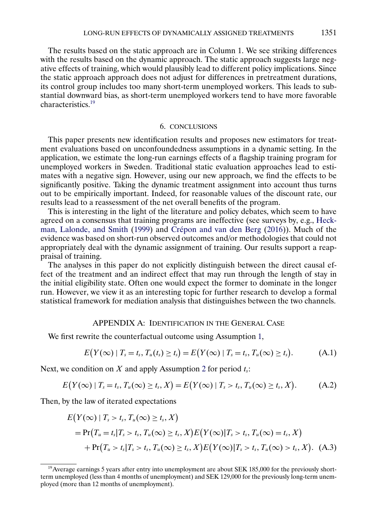<span id="page-14-0"></span>The results based on the static approach are in Column 1. We see striking differences with the results based on the dynamic approach. The static approach suggests large negative effects of training, which would plausibly lead to different policy implications. Since the static approach approach does not adjust for differences in pretreatment durations, its control group includes too many short-term unemployed workers. This leads to substantial downward bias, as short-term unemployed workers tend to have more favorable characteristics.19

# 6. CONCLUSIONS

This paper presents new identification results and proposes new estimators for treatment evaluations based on unconfoundedness assumptions in a dynamic setting. In the application, we estimate the long-run earnings effects of a flagship training program for unemployed workers in Sweden. Traditional static evaluation approaches lead to estimates with a negative sign. However, using our new approach, we find the effects to be significantly positive. Taking the dynamic treatment assignment into account thus turns out to be empirically important. Indeed, for reasonable values of the discount rate, our results lead to a reassessment of the net overall benefits of the program.

This is interesting in the light of the literature and policy debates, which seem to have agreed on a consensus that training programs are ineffective (see surveys by, e.g., [Heck](#page-16-0)[man, Lalonde, and Smith](#page-16-0) [\(1999\)](#page-16-0) and [Crépon and van den Berg](#page-16-0) [\(2016\)](#page-16-0)). Much of the evidence was based on short-run observed outcomes and/or methodologies that could not appropriately deal with the dynamic assignment of training. Our results support a reappraisal of training.

The analyses in this paper do not explicitly distinguish between the direct causal effect of the treatment and an indirect effect that may run through the length of stay in the initial eligibility state. Often one would expect the former to dominate in the longer run. However, we view it as an interesting topic for further research to develop a formal statistical framework for mediation analysis that distinguishes between the two channels.

# APPENDIX A: IDENTIFICATION IN THE GENERAL CASE

We first rewrite the counterfactual outcome using Assumption [1,](#page-2-0)

$$
E(Y(\infty) | T_s = t_s, T_u(t_s) \ge t_s) = E(Y(\infty) | T_s = t_s, T_u(\infty) \ge t_s).
$$
 (A.1)

Next, we condition on X and apply Assumption [2](#page-4-0) for period  $t_s$ :

$$
E(Y(\infty) | T_s = t_s, T_u(\infty) \ge t_s, X) = E(Y(\infty) | T_s > t_s, T_u(\infty) \ge t_s, X).
$$
 (A.2)

Then, by the law of iterated expectations

$$
E(Y(\infty) | T_s > t_s, T_u(\infty) \ge t_s, X)
$$
  
= Pr(T\_u = t\_s | T\_s > t\_s, T\_u(\infty) \ge t\_s, X) E(Y(\infty) | T\_s > t\_s, T\_u(\infty) = t\_s, X)  
+ Pr(T\_u > t\_s | T\_s > t\_s, T\_u(\infty) \ge t\_s, X) E(Y(\infty) | T\_s > t\_s, T\_u(\infty) > t\_s, X). (A.3)

 $19$ Average earnings 5 years after entry into unemployment are about SEK 185,000 for the previously shortterm unemployed (less than 4 months of unemployment) and SEK 129,000 for the previously long-term unemployed (more than 12 months of unemployment).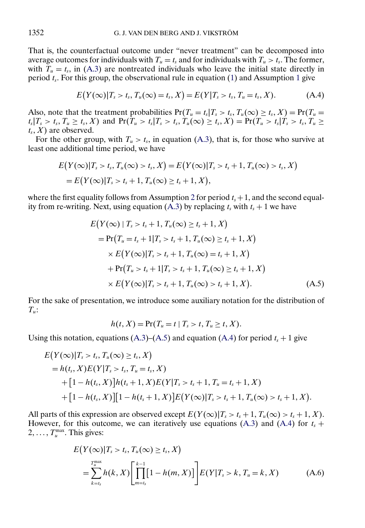That is, the counterfactual outcome under "never treatment" can be decomposed into average outcomes for individuals with  $T_u = t_s$  and for individuals with  $T_u > t_s$ . The former, with  $\overline{T}_u = t_s$ , in [\(A.3\)](#page-14-0) are nontreated individuals who leave the initial state directly in period  $t_s$ . For this group, the observational rule in equation [\(1\)](#page-3-0) and Assumption [1](#page-2-0) give

$$
E(Y(\infty)|T_s > t_s, T_u(\infty) = t_s, X) = E(Y|T_s > t_s, T_u = t_s, X).
$$
 (A.4)

Also, note that the treatment probabilities  $Pr(T_u = t_s | T_s > t_s, T_u(\infty) \ge t_s, X) = Pr(T_u =$  $t_s|T_s > t_s$ ,  $T_u \ge t_s$ , X) and  $Pr(T_u > t_s|T_s > t_s, T_u(\infty) \ge t_s, X) = Pr(T_u > t_s|T_s > t_s, T_u \ge t_s)$  $t_s$ ,  $X$ ) are observed.

For the other group, with  $T_u > t_s$ , in equation [\(A.3\)](#page-14-0), that is, for those who survive at least one additional time period, we have

$$
E(Y(\infty)|T_s > t_s, T_u(\infty) > t_s, X) = E(Y(\infty)|T_s > t_s + 1, T_u(\infty) > t_s, X)
$$
  
=  $E(Y(\infty)|T_s > t_s + 1, T_u(\infty) \ge t_s + 1, X),$ 

where the first equality follows from Assumption [2](#page-4-0) for period  $t_s + 1$ , and the second equal-ity from re-writing. Next, using equation [\(A.3\)](#page-14-0) by replacing  $t_s$  with  $t_s + 1$  we have

$$
E(Y(\infty) | T_s > t_s + 1, T_u(\infty) \ge t_s + 1, X)
$$
  
= Pr(T\_u = t\_s + 1 | T\_s > t\_s + 1, T\_u(\infty) \ge t\_s + 1, X)  
× E(Y(\infty) | T\_s > t\_s + 1, T\_u(\infty) = t\_s + 1, X)  
+ Pr(T\_u > t\_s + 1 | T\_s > t\_s + 1, T\_u(\infty) \ge t\_s + 1, X)  
× E(Y(\infty) | T\_s > t\_s + 1, T\_u(\infty) > t\_s + 1, X). (A.5)

For the sake of presentation, we introduce some auxiliary notation for the distribution of  $T_u$ :

$$
h(t, X) = \Pr(T_u = t \mid T_s > t, T_u \geq t, X).
$$

Using this notation, equations  $(A.3)$ – $(A.5)$  and equation  $(A.4)$  for period  $t_s + 1$  give

$$
E(Y(\infty)|T_s > t_s, T_u(\infty) \ge t_s, X)
$$
  
=  $h(t_s, X)E(Y|T_s > t_s, T_u = t_s, X)$   
+  $[1 - h(t_s, X)]h(t_s + 1, X)E(Y|T_s > t_s + 1, T_u = t_s + 1, X)$   
+  $[1 - h(t_s, X)][1 - h(t_s + 1, X)]E(Y(\infty)|T_s > t_s + 1, T_u(\infty) > t_s + 1, X).$ 

All parts of this expression are observed except  $E(Y(\infty)|T_s > t_s + 1, T_u(\infty) > t_s + 1, X)$ . However, for this outcome, we can iteratively use equations [\(A.3\)](#page-14-0) and (A.4) for  $t_s$  +  $2, \ldots, T_u^{\max}$ . This gives:

$$
E(Y(\infty)|T_s > t_s, T_u(\infty) \ge t_s, X)
$$
  
= 
$$
\sum_{k=t_s}^{T_u^{\max}} h(k, X) \left[ \prod_{m=t_s}^{k-1} [1 - h(m, X)] \right] E(Y|T_s > k, T_u = k, X)
$$
 (A.6)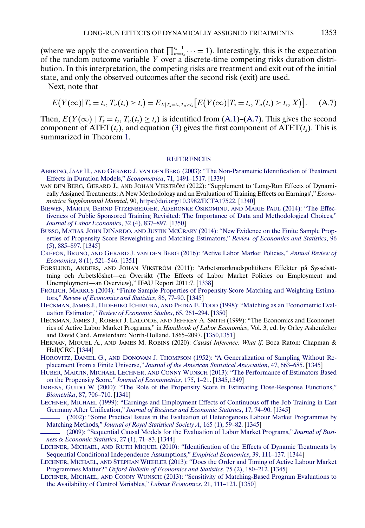<span id="page-16-0"></span>(where we apply the convention that  $\prod_{m=t_s}^{t_s-1} \cdots = 1$ ). Interestingly, this is the expectation of the random outcome variable Y over a discrete-time competing risks duration distribution. In this interpretation, the competing risks are treatment and exit out of the initial state, and only the observed outcomes after the second risk (exit) are used.

Next, note that

$$
E(Y(\infty)|T_s = t_s, T_u(t_s) \ge t_s) = E_{X|T_s = t_s, T_u \ge t_s} [E(Y(\infty)|T_s = t_s, T_u(t_s) \ge t_s, X)]. \tag{A.7}
$$

Then,  $E(Y(\infty) | T_s = t_s, T_u(t_s) \ge t_s)$  is identified from  $(A.1)$ – $(A.7)$ . This gives the second component of  $\text{ATET}(t_s)$ , and equation [\(3\)](#page-3-0) gives the first component of  $\text{ATET}(t_s)$ . This is summarized in Theorem [1.](#page-6-0)

### **[REFERENCES](http://www.e-publications.org/srv/ecta/linkserver/setprefs?rfe_id=urn:sici%2F0012-9682%282022%2990%3A3%3C1337%3ALREODA%3E2.0.CO%3B2-T)**

- ABBRING, JAAP H., AND GERARD J. VAN DEN BERG [\(2003\): "The Non-Parametric Identification of Treatment](http://www.e-publications.org/srv/ecta/linkserver/openurl?rft_dat=bib:1/1&rfe_id=urn:sici%2F0012-9682%282022%2990%3A3%3C1337%3ALREODA%3E2.0.CO%3B2-T) [Effects in Duration Models,"](http://www.e-publications.org/srv/ecta/linkserver/openurl?rft_dat=bib:1/1&rfe_id=urn:sici%2F0012-9682%282022%2990%3A3%3C1337%3ALREODA%3E2.0.CO%3B2-T) *Econometrica*, 71, 1491–1517. [\[1339\]](#page-2-0)
- VAN DEN BERG, GERARD J., AND JOHAN VIKSTRÖM (2022): "Supplement to 'Long-Run Effects of Dynamically Assigned Treatments: A New Methodology and an Evaluation of Training Effects on Earnings'," *Econometrica Supplemental Material*, 90, <https://doi.org/10.3982/ECTA17522>. [\[1340\]](#page-3-0)
- BIEWEN, MARTIN, BERND [FITZENBERGER, ADERONKE](http://www.e-publications.org/srv/ecta/linkserver/openurl?rft_dat=bib:3/2&rfe_id=urn:sici%2F0012-9682%282022%2990%3A3%3C1337%3ALREODA%3E2.0.CO%3B2-T) OSIKOMINU, AND MARIE PAUL (2014): "The Effec[tiveness of Public Sponsored Training Revisited: The Importance of Data and Methodological Choices,"](http://www.e-publications.org/srv/ecta/linkserver/openurl?rft_dat=bib:3/2&rfe_id=urn:sici%2F0012-9682%282022%2990%3A3%3C1337%3ALREODA%3E2.0.CO%3B2-T) *[Journal of Labor Economics](http://www.e-publications.org/srv/ecta/linkserver/openurl?rft_dat=bib:3/2&rfe_id=urn:sici%2F0012-9682%282022%2990%3A3%3C1337%3ALREODA%3E2.0.CO%3B2-T)*, 32 (4), 837–897. [\[1350\]](#page-13-0)
- BUSSO, MATIAS, JOHN DINARDO, AND JUSTIN MCCRARY [\(2014\): "New Evidence on the Finite Sample Prop](http://www.e-publications.org/srv/ecta/linkserver/openurl?rft_dat=bib:4/3&rfe_id=urn:sici%2F0012-9682%282022%2990%3A3%3C1337%3ALREODA%3E2.0.CO%3B2-T)[erties of Propensity Score Reweighting and Matching Estimators,"](http://www.e-publications.org/srv/ecta/linkserver/openurl?rft_dat=bib:4/3&rfe_id=urn:sici%2F0012-9682%282022%2990%3A3%3C1337%3ALREODA%3E2.0.CO%3B2-T) *Review of Economics and Statistics*, 96 [\(5\), 885–897.](http://www.e-publications.org/srv/ecta/linkserver/openurl?rft_dat=bib:4/3&rfe_id=urn:sici%2F0012-9682%282022%2990%3A3%3C1337%3ALREODA%3E2.0.CO%3B2-T) [\[1345\]](#page-8-0)
- CRÉPON, BRUNO, AND GERARD J. VAN DEN BERG [\(2016\): "Active Labor Market Policies,"](http://www.e-publications.org/srv/ecta/linkserver/openurl?rft_dat=bib:5/4&rfe_id=urn:sici%2F0012-9682%282022%2990%3A3%3C1337%3ALREODA%3E2.0.CO%3B2-T) *Annual Review of Economics*[, 8 \(1\), 521–546.](http://www.e-publications.org/srv/ecta/linkserver/openurl?rft_dat=bib:5/4&rfe_id=urn:sici%2F0012-9682%282022%2990%3A3%3C1337%3ALREODA%3E2.0.CO%3B2-T) [\[1351\]](#page-14-0)
- FORSLUND, ANDERS, AND JOHAN VIKSTRÖM (2011): "Arbetsmarknadspolitikens Effekter på Sysselsättning och Arbetslöshet—en Översikt (The Effects of Labor Market Policies on Employment and Unemployment—an Overview)," IFAU Report 2011:7. [\[1338\]](#page-1-0)
- FRÖLICH, MARKUS [\(2004\): "Finite Sample Properties of Propensity-Score Matching and Weighting Estima](http://www.e-publications.org/srv/ecta/linkserver/openurl?rft_dat=bib:7/6&rfe_id=urn:sici%2F0012-9682%282022%2990%3A3%3C1337%3ALREODA%3E2.0.CO%3B2-T)tors," *[Review of Economics and Statistics](http://www.e-publications.org/srv/ecta/linkserver/openurl?rft_dat=bib:7/6&rfe_id=urn:sici%2F0012-9682%282022%2990%3A3%3C1337%3ALREODA%3E2.0.CO%3B2-T)*, 86, 77–90. [\[1345\]](#page-8-0)
- HECKMAN, JAMES J., HIDEHIKO ICHIMURA, AND PETRA E. TODD [\(1998\): "Matching as an Econometric Eval](http://www.e-publications.org/srv/ecta/linkserver/openurl?rft_dat=bib:8/7&rfe_id=urn:sici%2F0012-9682%282022%2990%3A3%3C1337%3ALREODA%3E2.0.CO%3B2-T)uation Estimator," *[Review of Economic Studies](http://www.e-publications.org/srv/ecta/linkserver/openurl?rft_dat=bib:8/7&rfe_id=urn:sici%2F0012-9682%282022%2990%3A3%3C1337%3ALREODA%3E2.0.CO%3B2-T)*, 65, 261–294. [\[1350\]](#page-13-0)
- HECKMAN, JAMES J., ROBERT J. LALONDE, AND JEFFREY A. SMITH (1999): "The Economics and Econometrics of Active Labor Market Programs," in *Handbook of Labor Economics*, Vol. 3, ed. by Orley Ashenfelter and David Card. Amsterdam: North-Holland, 1865–2097. [\[1350](#page-13-0)[,1351\]](#page-14-0)
- HERNÁN, MIGUEL A., AND JAMES M. ROBINS (2020): *Causal Inference: What if*. Boca Raton: Chapman & Hall/CRC. [\[1344\]](#page-7-0)
- HOROVITZ, DANIEL G., AND DONOVAN J. THOMPSON [\(1952\): "A Generalization of Sampling Without Re](http://www.e-publications.org/srv/ecta/linkserver/openurl?rft_dat=bib:11/10&rfe_id=urn:sici%2F0012-9682%282022%2990%3A3%3C1337%3ALREODA%3E2.0.CO%3B2-T)placement From a Finite Universe," *[Journal of the American Statistical Association](http://www.e-publications.org/srv/ecta/linkserver/openurl?rft_dat=bib:11/10&rfe_id=urn:sici%2F0012-9682%282022%2990%3A3%3C1337%3ALREODA%3E2.0.CO%3B2-T)*, 47, 663–685. [\[1345\]](#page-8-0)
- HUBER, MARTIN, MICHAEL LECHNER, AND CONNY WUNSCH [\(2013\): "The Performance of Estimators Based](http://www.e-publications.org/srv/ecta/linkserver/openurl?rft_dat=bib:12/11&rfe_id=urn:sici%2F0012-9682%282022%2990%3A3%3C1337%3ALREODA%3E2.0.CO%3B2-T) [on the Propensity Score,"](http://www.e-publications.org/srv/ecta/linkserver/openurl?rft_dat=bib:12/11&rfe_id=urn:sici%2F0012-9682%282022%2990%3A3%3C1337%3ALREODA%3E2.0.CO%3B2-T) *Journal of Econometrics*, 175, 1–21. [\[1345](#page-8-0)[,1349\]](#page-12-0)
- IMBENS, GUIDO [W. \(2000\): "The Role of the Propensity Score in Estimating Dose-Response Functions,"](http://www.e-publications.org/srv/ecta/linkserver/openurl?rft_dat=bib:13/12&rfe_id=urn:sici%2F0012-9682%282022%2990%3A3%3C1337%3ALREODA%3E2.0.CO%3B2-T) *Biometrika*[, 87, 706–710.](http://www.e-publications.org/srv/ecta/linkserver/openurl?rft_dat=bib:13/12&rfe_id=urn:sici%2F0012-9682%282022%2990%3A3%3C1337%3ALREODA%3E2.0.CO%3B2-T) [\[1341\]](#page-4-0)
- LECHNER, MICHAEL [\(1999\): "Earnings and Employment Effects of Continuous off-the-Job Training in East](http://www.e-publications.org/srv/ecta/linkserver/openurl?rft_dat=bib:14/13&rfe_id=urn:sici%2F0012-9682%282022%2990%3A3%3C1337%3ALREODA%3E2.0.CO%3B2-T) Germany After Unification," *[Journal of Business and Economic Statistics](http://www.e-publications.org/srv/ecta/linkserver/openurl?rft_dat=bib:14/13&rfe_id=urn:sici%2F0012-9682%282022%2990%3A3%3C1337%3ALREODA%3E2.0.CO%3B2-T)*, 17, 74–90. [\[1345\]](#page-8-0)

[\(2002\): "Some Practical Issues in the Evaluation of Heterogenous Labour Market Programmes by](http://www.e-publications.org/srv/ecta/linkserver/openurl?rft_dat=bib:15/14&rfe_id=urn:sici%2F0012-9682%282022%2990%3A3%3C1337%3ALREODA%3E2.0.CO%3B2-T) Matching Methods," *[Journal of Royal Statistical Society A](http://www.e-publications.org/srv/ecta/linkserver/openurl?rft_dat=bib:15/14&rfe_id=urn:sici%2F0012-9682%282022%2990%3A3%3C1337%3ALREODA%3E2.0.CO%3B2-T)*, 165 (1), 59–82. [\[1345\]](#page-8-0)

- [\(2009\): "Sequential Causal Models for the Evaluation of Labor Market Programs,"](http://www.e-publications.org/srv/ecta/linkserver/openurl?rft_dat=bib:16/15&rfe_id=urn:sici%2F0012-9682%282022%2990%3A3%3C1337%3ALREODA%3E2.0.CO%3B2-T) *Journal of Busi[ness & Economic Statistics](http://www.e-publications.org/srv/ecta/linkserver/openurl?rft_dat=bib:16/15&rfe_id=urn:sici%2F0012-9682%282022%2990%3A3%3C1337%3ALREODA%3E2.0.CO%3B2-T)*, 27 (1), 71–83. [\[1344\]](#page-7-0)
- LECHNER, MICHAEL, AND RUTH MIQUEL [\(2010\): "Identification of the Effects of Dynamic Treatments by](http://www.e-publications.org/srv/ecta/linkserver/openurl?rft_dat=bib:17/16&rfe_id=urn:sici%2F0012-9682%282022%2990%3A3%3C1337%3ALREODA%3E2.0.CO%3B2-T) [Sequential Conditional Independence Assumptions,"](http://www.e-publications.org/srv/ecta/linkserver/openurl?rft_dat=bib:17/16&rfe_id=urn:sici%2F0012-9682%282022%2990%3A3%3C1337%3ALREODA%3E2.0.CO%3B2-T) *Empirical Economics*, 39, 111–137. [\[1344\]](#page-7-0)
- LECHNER, MICHAEL, AND STEPHAN WIEHLER [\(2013\): "Does the Order and Timing of Active Labour Market](http://www.e-publications.org/srv/ecta/linkserver/openurl?rft_dat=bib:18/18&rfe_id=urn:sici%2F0012-9682%282022%2990%3A3%3C1337%3ALREODA%3E2.0.CO%3B2-T) Programmes Matter?" *[Oxford Bulletin of Economics and Statistics](http://www.e-publications.org/srv/ecta/linkserver/openurl?rft_dat=bib:18/18&rfe_id=urn:sici%2F0012-9682%282022%2990%3A3%3C1337%3ALREODA%3E2.0.CO%3B2-T)*, 75 (2), 180–212. [\[1345\]](#page-8-0)
- LECHNER, MICHAEL, AND CONNY WUNSCH [\(2013\): "Sensitivity of Matching-Based Program Evaluations to](http://www.e-publications.org/srv/ecta/linkserver/openurl?rft_dat=bib:19/19&rfe_id=urn:sici%2F0012-9682%282022%2990%3A3%3C1337%3ALREODA%3E2.0.CO%3B2-T) [the Availability of Control Variables,"](http://www.e-publications.org/srv/ecta/linkserver/openurl?rft_dat=bib:19/19&rfe_id=urn:sici%2F0012-9682%282022%2990%3A3%3C1337%3ALREODA%3E2.0.CO%3B2-T) *Labour Economics*, 21, 111–121. [\[1350\]](#page-13-0)